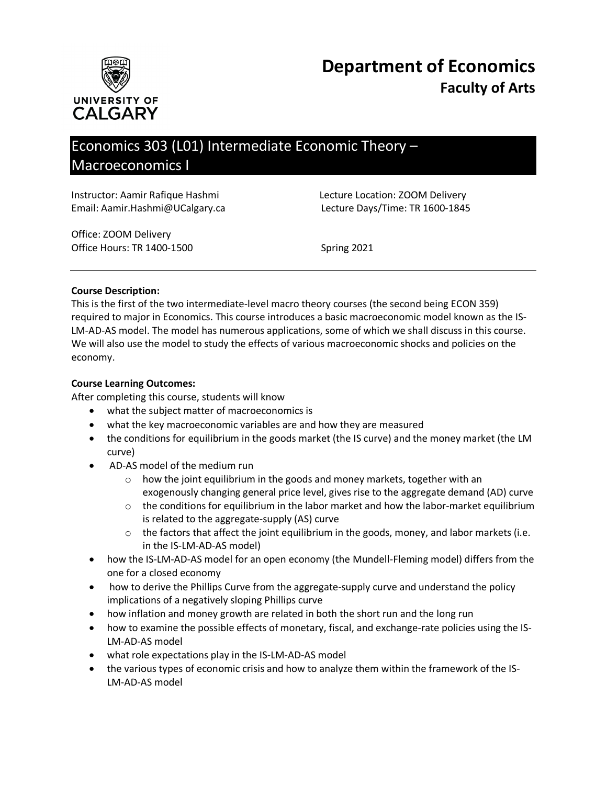

# Economics 303 (L01) Intermediate Economic Theory – Macroeconomics I

Instructor: Aamir Rafique Hashmi Lecture Location: ZOOM Delivery Email: Aamir.Hashmi@UCalgary.ca Lecture Days/Time: TR 1600-1845

Office: ZOOM Delivery Office Hours: TR 1400-1500 Spring 2021

## **Course Description:**

This is the first of the two intermediate-level macro theory courses (the second being ECON 359) required to major in Economics. This course introduces a basic macroeconomic model known as the IS-LM-AD-AS model. The model has numerous applications, some of which we shall discuss in this course. We will also use the model to study the effects of various macroeconomic shocks and policies on the economy.

## **Course Learning Outcomes:**

After completing this course, students will know

- what the subject matter of macroeconomics is
- what the key macroeconomic variables are and how they are measured
- the conditions for equilibrium in the goods market (the IS curve) and the money market (the LM curve)
- AD-AS model of the medium run
	- o how the joint equilibrium in the goods and money markets, together with an exogenously changing general price level, gives rise to the aggregate demand (AD) curve
	- $\circ$  the conditions for equilibrium in the labor market and how the labor-market equilibrium is related to the aggregate-supply (AS) curve
	- $\circ$  the factors that affect the joint equilibrium in the goods, money, and labor markets (i.e. in the IS-LM-AD-AS model)
- how the IS-LM-AD-AS model for an open economy (the Mundell-Fleming model) differs from the one for a closed economy
- how to derive the Phillips Curve from the aggregate-supply curve and understand the policy implications of a negatively sloping Phillips curve
- how inflation and money growth are related in both the short run and the long run
- how to examine the possible effects of monetary, fiscal, and exchange-rate policies using the IS-LM-AD-AS model
- what role expectations play in the IS-LM-AD-AS model
- the various types of economic crisis and how to analyze them within the framework of the IS-LM-AD-AS model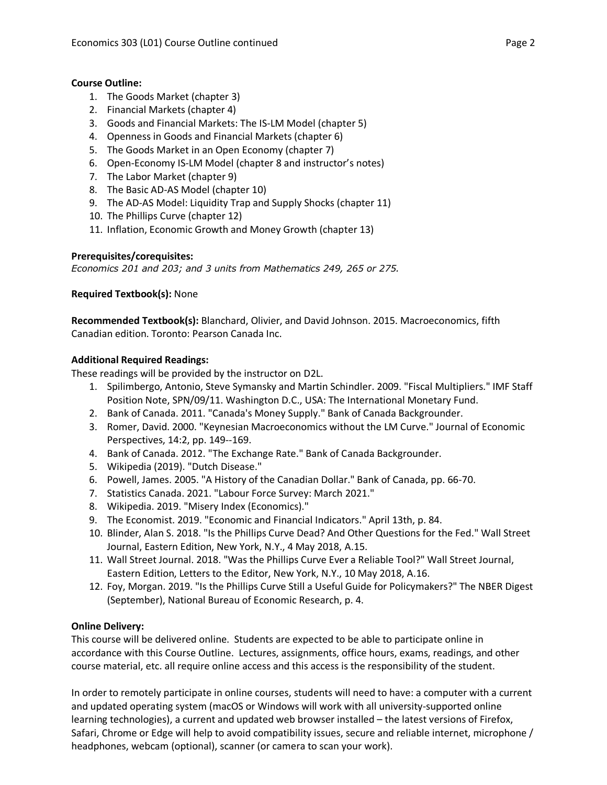# **Course Outline:**

- 1. The Goods Market (chapter 3)
- 2. Financial Markets (chapter 4)
- 3. Goods and Financial Markets: The IS-LM Model (chapter 5)
- 4. Openness in Goods and Financial Markets (chapter 6)
- 5. The Goods Market in an Open Economy (chapter 7)
- 6. Open-Economy IS-LM Model (chapter 8 and instructor's notes)
- 7. The Labor Market (chapter 9)
- 8. The Basic AD-AS Model (chapter 10)
- 9. The AD-AS Model: Liquidity Trap and Supply Shocks (chapter 11)
- 10. The Phillips Curve (chapter 12)
- 11. Inflation, Economic Growth and Money Growth (chapter 13)

## **Prerequisites/corequisites:**

*Economics 201 and 203; and 3 units from Mathematics 249, 265 or 275.*

**Required Textbook(s):** None

**Recommended Textbook(s):** Blanchard, Olivier, and David Johnson. 2015. Macroeconomics, fifth Canadian edition. Toronto: Pearson Canada Inc.

## **Additional Required Readings:**

These readings will be provided by the instructor on D2L.

- 1. Spilimbergo, Antonio, Steve Symansky and Martin Schindler. 2009. "Fiscal Multipliers." IMF Staff Position Note, SPN/09/11. Washington D.C., USA: The International Monetary Fund.
- 2. Bank of Canada. 2011. "Canada's Money Supply." Bank of Canada Backgrounder.
- 3. Romer, David. 2000. "Keynesian Macroeconomics without the LM Curve." Journal of Economic Perspectives, 14:2, pp. 149--169.
- 4. Bank of Canada. 2012. "The Exchange Rate." Bank of Canada Backgrounder.
- 5. Wikipedia (2019). "Dutch Disease."
- 6. Powell, James. 2005. "A History of the Canadian Dollar." Bank of Canada, pp. 66-70.
- 7. Statistics Canada. 2021. "Labour Force Survey: March 2021."
- 8. Wikipedia. 2019. "Misery Index (Economics)."
- 9. The Economist. 2019. "Economic and Financial Indicators." April 13th, p. 84.
- 10. Blinder, Alan S. 2018. "Is the Phillips Curve Dead? And Other Questions for the Fed." Wall Street Journal, Eastern Edition, New York, N.Y., 4 May 2018, A.15.
- 11. Wall Street Journal. 2018. "Was the Phillips Curve Ever a Reliable Tool?" Wall Street Journal, Eastern Edition, Letters to the Editor, New York, N.Y., 10 May 2018, A.16.
- 12. Foy, Morgan. 2019. "Is the Phillips Curve Still a Useful Guide for Policymakers?" The NBER Digest (September), National Bureau of Economic Research, p. 4.

# **Online Delivery:**

This course will be delivered online. Students are expected to be able to participate online in accordance with this Course Outline. Lectures, assignments, office hours, exams, readings, and other course material, etc. all require online access and this access is the responsibility of the student.

In order to remotely participate in online courses, students will need to have: a computer with a current and updated operating system (macOS or Windows will work with all university-supported online learning technologies), a current and updated web browser installed – the latest versions of Firefox, Safari, Chrome or Edge will help to avoid compatibility issues, secure and reliable internet, microphone / headphones, webcam (optional), scanner (or camera to scan your work).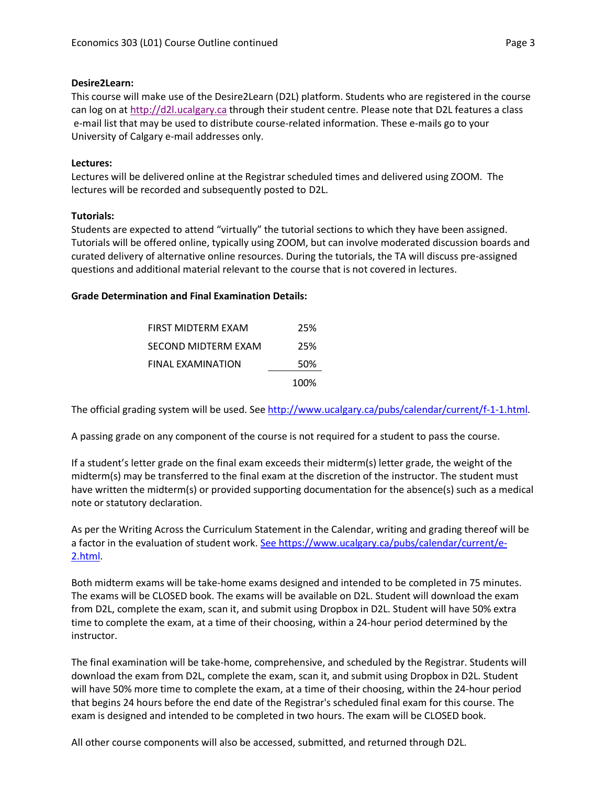## **Desire2Learn:**

This course will make use of the Desire2Learn (D2L) platform. Students who are registered in the course can log on at [http://d2l.ucalgary.ca](http://d2l.ucalgary.ca/) through their student centre. Please note that D2L features a class e-mail list that may be used to distribute course-related information. These e-mails go to your University of Calgary e-mail addresses only.

# **Lectures:**

Lectures will be delivered online at the Registrar scheduled times and delivered using ZOOM. The lectures will be recorded and subsequently posted to D2L.

## **Tutorials:**

Students are expected to attend "virtually" the tutorial sections to which they have been assigned. Tutorials will be offered online, typically using ZOOM, but can involve moderated discussion boards and curated delivery of alternative online resources. During the tutorials, the TA will discuss pre-assigned questions and additional material relevant to the course that is not covered in lectures.

## **Grade Determination and Final Examination Details:**

| FIRST MIDTERM EXAM  | 25%  |
|---------------------|------|
| SECOND MIDTERM EXAM | 25%  |
| FINAL EXAMINATION   | 50%  |
|                     | 100% |

The official grading system will be used. Se[e http://www.ucalgary.ca/pubs/calendar/current/f-1-1.html.](http://www.ucalgary.ca/pubs/calendar/current/f-1-1.html)

A passing grade on any component of the course is not required for a student to pass the course.

If a student's letter grade on the final exam exceeds their midterm(s) letter grade, the weight of the midterm(s) may be transferred to the final exam at the discretion of the instructor. The student must have written the midterm(s) or provided supporting documentation for the absence(s) such as a medical note or statutory declaration.

As per the Writing Across the Curriculum Statement in the Calendar, writing and grading thereof will be a factor in the evaluation of student work. [See https://www.ucalgary.ca/pubs/calendar/current/e-](https://www.ucalgary.ca/pubs/calendar/current/e-2.html)[2.html.](https://www.ucalgary.ca/pubs/calendar/current/e-2.html)

Both midterm exams will be take-home exams designed and intended to be completed in 75 minutes. The exams will be CLOSED book. The exams will be available on D2L. Student will download the exam from D2L, complete the exam, scan it, and submit using Dropbox in D2L. Student will have 50% extra time to complete the exam, at a time of their choosing, within a 24-hour period determined by the instructor.

The final examination will be take-home, comprehensive, and scheduled by the Registrar. Students will download the exam from D2L, complete the exam, scan it, and submit using Dropbox in D2L. Student will have 50% more time to complete the exam, at a time of their choosing, within the 24-hour period that begins 24 hours before the end date of the Registrar's scheduled final exam for this course. The exam is designed and intended to be completed in two hours. The exam will be CLOSED book.

All other course components will also be accessed, submitted, and returned through D2L.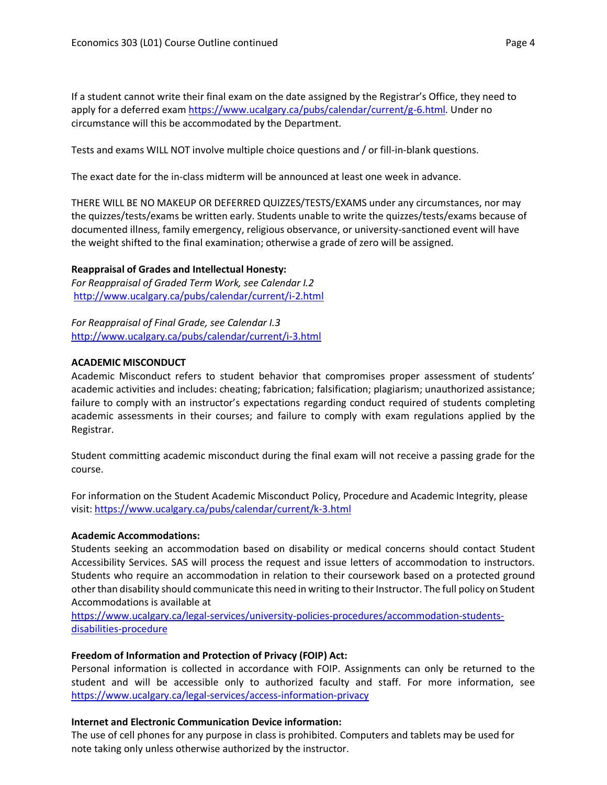If a student cannot write their final exam on the date assigned by the Registrar's Office, they need to apply for a deferred exam [https://www.ucalgary.ca/pubs/calendar/current/g-6.html.](https://www.ucalgary.ca/pubs/calendar/current/g-6.html) Under no circumstance will this be accommodated by the Department.

Tests and exams WILL NOT involve multiple choice questions and / or fill-in-blank questions.

The exact date for the in-class midterm will be announced at least one week in advance.

THERE WILL BE NO MAKEUP OR DEFERRED QUIZZES/TESTS/EXAMS under any circumstances, nor may the quizzes/tests/exams be written early. Students unable to write the quizzes/tests/exams because of documented illness, family emergency, religious observance, or university-sanctioned event will have the weight shifted to the final examination; otherwise a grade of zero will be assigned.

## **Reappraisal of Grades and Intellectual Honesty:**

*For Reappraisal of Graded Term Work, see Calendar I.2* <http://www.ucalgary.ca/pubs/calendar/current/i-2.html>

*For Reappraisal of Final Grade, see Calendar I.3* <http://www.ucalgary.ca/pubs/calendar/current/i-3.html>

#### **ACADEMIC MISCONDUCT**

Academic Misconduct refers to student behavior that compromises proper assessment of students' academic activities and includes: cheating; fabrication; falsification; plagiarism; unauthorized assistance; failure to comply with an instructor's expectations regarding conduct required of students completing academic assessments in their courses; and failure to comply with exam regulations applied by the Registrar.

Student committing academic misconduct during the final exam will not receive a passing grade for the course.

For information on the Student Academic Misconduct Policy, Procedure and Academic Integrity, please visit[: https://www.ucalgary.ca/pubs/calendar/current/k-3.html](https://www.ucalgary.ca/pubs/calendar/current/k-3.html)

#### **Academic Accommodations:**

Students seeking an accommodation based on disability or medical concerns should contact Student Accessibility Services. SAS will process the request and issue letters of accommodation to instructors. Students who require an accommodation in relation to their coursework based on a protected ground other than disability should communicate this need in writing to their Instructor. The full policy on Student Accommodations is available at

[https://www.ucalgary.ca/legal-services/university-policies-procedures/accommodation-students](https://www.ucalgary.ca/legal-services/university-policies-procedures/accommodation-students-disabilities-procedure)[disabilities-procedure](https://www.ucalgary.ca/legal-services/university-policies-procedures/accommodation-students-disabilities-procedure)

## **Freedom of Information and Protection of Privacy (FOIP) Act:**

Personal information is collected in accordance with FOIP. Assignments can only be returned to the student and will be accessible only to authorized faculty and staff. For more information, see <https://www.ucalgary.ca/legal-services/access-information-privacy>

## **Internet and Electronic Communication Device information:**

The use of cell phones for any purpose in class is prohibited. Computers and tablets may be used for note taking only unless otherwise authorized by the instructor.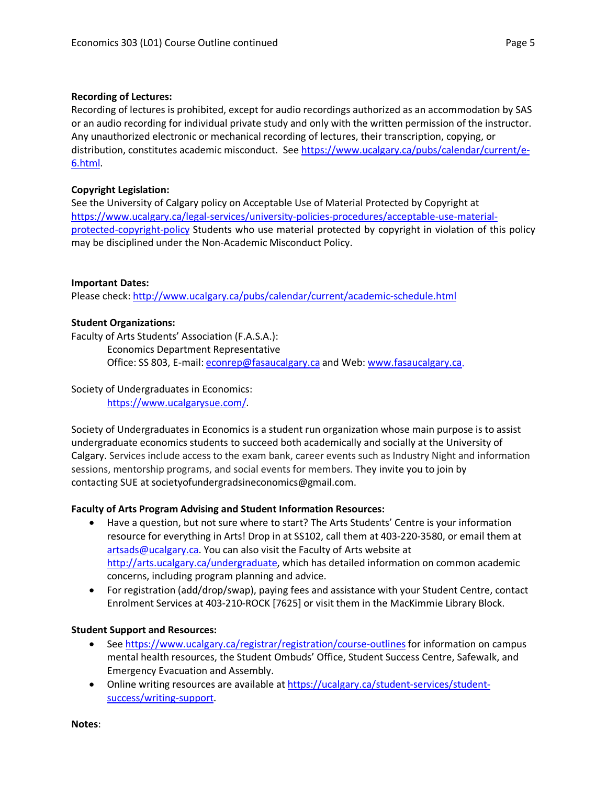## **Recording of Lectures:**

Recording of lectures is prohibited, except for audio recordings authorized as an accommodation by SAS or an audio recording for individual private study and only with the written permission of the instructor. Any unauthorized electronic or mechanical recording of lectures, their transcription, copying, or distribution, constitutes academic misconduct. See [https://www.ucalgary.ca/pubs/calendar/current/e-](https://www.ucalgary.ca/pubs/calendar/current/e-6.html)[6.html.](https://www.ucalgary.ca/pubs/calendar/current/e-6.html)

## **Copyright Legislation:**

See the University of Calgary policy on Acceptable Use of Material Protected by Copyright at [https://www.ucalgary.ca/legal-services/university-policies-procedures/acceptable-use-material](https://www.ucalgary.ca/legal-services/university-policies-procedures/acceptable-use-material-protected-copyright-policy)[protected-copyright-policy](https://www.ucalgary.ca/legal-services/university-policies-procedures/acceptable-use-material-protected-copyright-policy) Students who use material protected by copyright in violation of this policy may be disciplined under the Non-Academic Misconduct Policy.

## **Important Dates:**

Please check:<http://www.ucalgary.ca/pubs/calendar/current/academic-schedule.html>

## **Student Organizations:**

Faculty of Arts Students' Association (F.A.S.A.):

Economics Department Representative Office: SS 803, E-mail: [econrep@fasaucalgary.ca](mailto:econrep@fasaucalgary.ca) and Web: [www.fasaucalgary.ca.](http://www.fasaucalgary.ca/)

Society of Undergraduates in Economics: [https://www.ucalgarysue.com/.](https://www.ucalgarysue.com/)

Society of Undergraduates in Economics is a student run organization whose main purpose is to assist undergraduate economics students to succeed both academically and socially at the University of Calgary. Services include access to the exam bank, career events such as Industry Night and information sessions, mentorship programs, and social events for members. They invite you to join by contacting SUE at societyofundergradsineconomics@gmail.com.

# **Faculty of Arts Program Advising and Student Information Resources:**

- Have a question, but not sure where to start? The Arts Students' Centre is your information resource for everything in Arts! Drop in at SS102, call them at 403-220-3580, or email them at [artsads@ucalgary.ca.](mailto:artsads@ucalgary.ca) You can also visit the Faculty of Arts website at [http://arts.ucalgary.ca/undergraduate,](http://arts.ucalgary.ca/undergraduate) which has detailed information on common academic concerns, including program planning and advice.
- For registration (add/drop/swap), paying fees and assistance with your Student Centre, contact Enrolment Services at 403-210-ROCK [7625] or visit them in the MacKimmie Library Block.

# **Student Support and Resources:**

- See https://www.ucalgary.ca/registrar/registration/course-outlines for information on campus mental health resources, the Student Ombuds' Office, Student Success Centre, Safewalk, and Emergency Evacuation and Assembly.
- Online writing resources are available at [https://ucalgary.ca/student-services/student](https://ucalgary.ca/student-services/student-success/writing-support)[success/writing-support.](https://ucalgary.ca/student-services/student-success/writing-support)